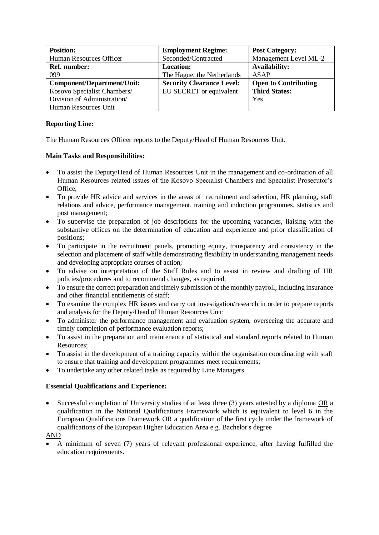| <b>Position:</b>            | <b>Employment Regime:</b>        | <b>Post Category:</b>       |
|-----------------------------|----------------------------------|-----------------------------|
| Human Resources Officer     | Seconded/Contracted              | Management Level ML-2       |
| <b>Ref. number:</b>         | <b>Location:</b>                 | <b>Availability:</b>        |
| 099                         | The Hague, the Netherlands       | ASAP                        |
| Component/Department/Unit:  | <b>Security Clearance Level:</b> | <b>Open to Contributing</b> |
| Kosovo Specialist Chambers/ | EU SECRET or equivalent          | <b>Third States:</b>        |
| Division of Administration/ |                                  | Yes                         |
| Human Resources Unit        |                                  |                             |

## **Reporting Line:**

The Human Resources Officer reports to the Deputy/Head of Human Resources Unit.

## **Main Tasks and Responsibilities:**

- To assist the Deputy/Head of Human Resources Unit in the management and co-ordination of all Human Resources related issues of the Kosovo Specialist Chambers and Specialist Prosecutor's Office;
- To provide HR advice and services in the areas of recruitment and selection, HR planning, staff relations and advice, performance management, training and induction programmes, statistics and post management;
- To supervise the preparation of job descriptions for the upcoming vacancies, liaising with the substantive offices on the determination of education and experience and prior classification of positions;
- To participate in the recruitment panels, promoting equity, transparency and consistency in the selection and placement of staff while demonstrating flexibility in understanding management needs and developing appropriate courses of action;
- To advise on interpretation of the Staff Rules and to assist in review and drafting of HR policies/procedures and to recommend changes, as required;
- To ensure the correct preparation and timely submission of the monthly payroll, including insurance and other financial entitlements of staff;
- To examine the complex HR issues and carry out investigation/research in order to prepare reports and analysis for the Deputy/Head of Human Resources Unit;
- To administer the performance management and evaluation system, overseeing the accurate and timely completion of performance evaluation reports;
- To assist in the preparation and maintenance of statistical and standard reports related to Human Resources;
- To assist in the development of a training capacity within the organisation coordinating with staff to ensure that training and development programmes meet requirements;
- To undertake any other related tasks as required by Line Managers.

## **Essential Qualifications and Experience:**

- Successful completion of University studies of at least three (3) years attested by a diploma OR a qualification in the National Qualifications Framework which is equivalent to level 6 in the European Qualifications Framework OR a qualification of the first cycle under the framework of qualifications of the European Higher Education Area e.g. Bachelor's degree
- AND
- A minimum of seven (7) years of relevant professional experience, after having fulfilled the education requirements.